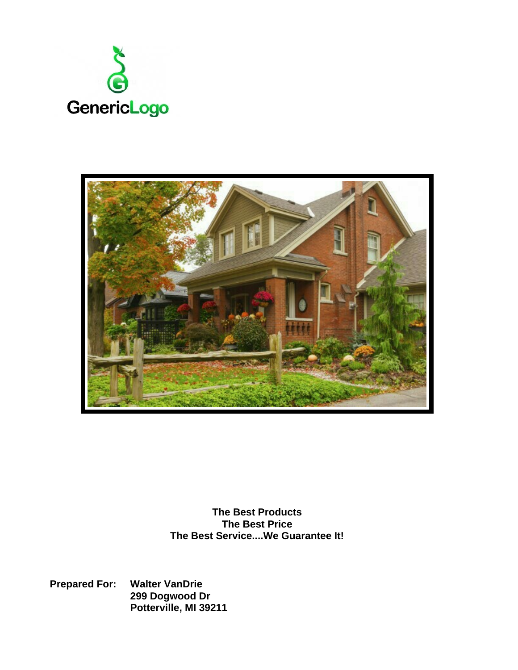



**The Best Products The Best Price The Best Service....We Guarantee It!**

**Prepared For: Walter VanDrie 299 Dogwood Dr Potterville, MI 39211**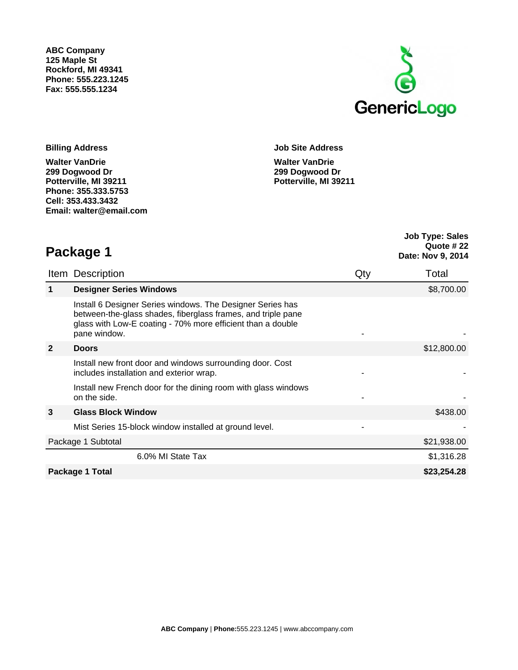**ABC Company 125 Maple St Rockford, MI 49341 Phone: 555.223.1245 Fax: 555.555.1234**



| <b>Billing Address</b>                                             | <b>Job Site Address</b>                 |
|--------------------------------------------------------------------|-----------------------------------------|
| <b>Walter VanDrie</b><br>299 Dogwood Dr                            | <b>Walter VanDrie</b><br>299 Dogwood Dr |
| Potterville, MI 39211<br>Phone: 355.333.5753<br>Cell: 353.433.3432 | Potterville, MI 39211                   |
| Email: walter@email.com                                            |                                         |

| Package 1                                                                                                                                                                                                 |                                                           |             |
|-----------------------------------------------------------------------------------------------------------------------------------------------------------------------------------------------------------|-----------------------------------------------------------|-------------|
|                                                                                                                                                                                                           | Qty                                                       | Total       |
| <b>Designer Series Windows</b>                                                                                                                                                                            |                                                           | \$8,700.00  |
| Install 6 Designer Series windows. The Designer Series has<br>between-the-glass shades, fiberglass frames, and triple pane<br>glass with Low-E coating - 70% more efficient than a double<br>pane window. |                                                           |             |
| <b>Doors</b>                                                                                                                                                                                              |                                                           | \$12,800.00 |
| Install new front door and windows surrounding door. Cost<br>includes installation and exterior wrap.                                                                                                     |                                                           |             |
| Install new French door for the dining room with glass windows<br>on the side.                                                                                                                            |                                                           |             |
| <b>Glass Block Window</b>                                                                                                                                                                                 |                                                           | \$438.00    |
| Mist Series 15-block window installed at ground level.                                                                                                                                                    |                                                           |             |
|                                                                                                                                                                                                           |                                                           | \$21,938.00 |
| 6.0% MI State Tax                                                                                                                                                                                         |                                                           | \$1,316.28  |
|                                                                                                                                                                                                           |                                                           | \$23,254.28 |
|                                                                                                                                                                                                           | Item Description<br>Package 1 Subtotal<br>Package 1 Total |             |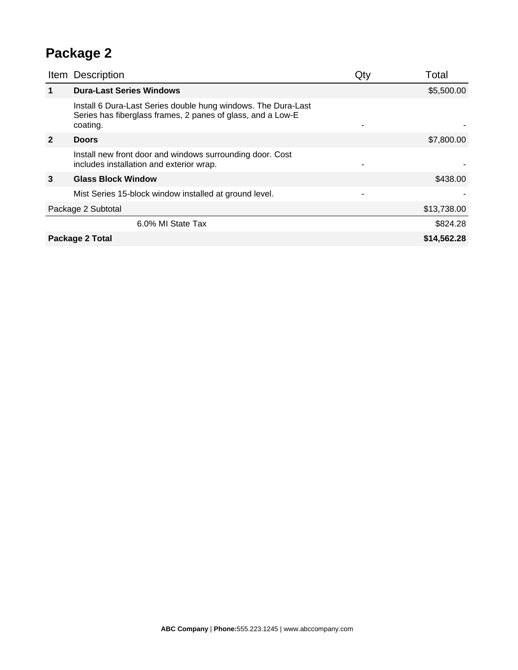## **Package 2**

|                | Item Description                                                                                                                         | Qty | Total       |
|----------------|------------------------------------------------------------------------------------------------------------------------------------------|-----|-------------|
| 1              | <b>Dura-Last Series Windows</b>                                                                                                          |     | \$5,500.00  |
|                | Install 6 Dura-Last Series double hung windows. The Dura-Last<br>Series has fiberglass frames, 2 panes of glass, and a Low-E<br>coating. |     |             |
| $\overline{2}$ | <b>Doors</b>                                                                                                                             |     | \$7,800.00  |
|                | Install new front door and windows surrounding door. Cost<br>includes installation and exterior wrap.                                    |     |             |
| 3              | <b>Glass Block Window</b>                                                                                                                |     | \$438.00    |
|                | Mist Series 15-block window installed at ground level.                                                                                   |     |             |
|                | Package 2 Subtotal                                                                                                                       |     | \$13,738.00 |
|                | 6.0% MI State Tax                                                                                                                        |     | \$824.28    |
|                | Package 2 Total                                                                                                                          |     | \$14,562.28 |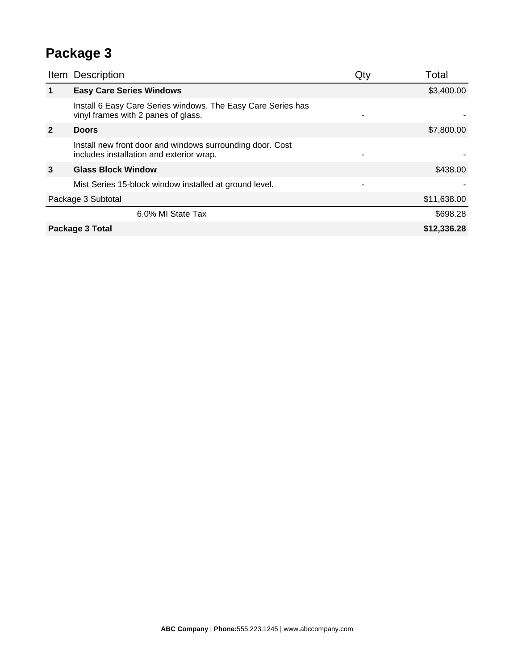## **Package 3**

|                | Item Description                                                                                      | Qty | Total       |
|----------------|-------------------------------------------------------------------------------------------------------|-----|-------------|
| $\mathbf 1$    | <b>Easy Care Series Windows</b>                                                                       |     | \$3,400.00  |
|                | Install 6 Easy Care Series windows. The Easy Care Series has<br>vinyl frames with 2 panes of glass.   |     |             |
| $\overline{2}$ | <b>Doors</b>                                                                                          |     | \$7,800.00  |
|                | Install new front door and windows surrounding door. Cost<br>includes installation and exterior wrap. |     |             |
| 3              | <b>Glass Block Window</b>                                                                             |     | \$438.00    |
|                | Mist Series 15-block window installed at ground level.                                                |     |             |
|                | Package 3 Subtotal                                                                                    |     | \$11,638.00 |
|                | 6.0% MI State Tax                                                                                     |     | \$698.28    |
|                | Package 3 Total                                                                                       |     | \$12,336.28 |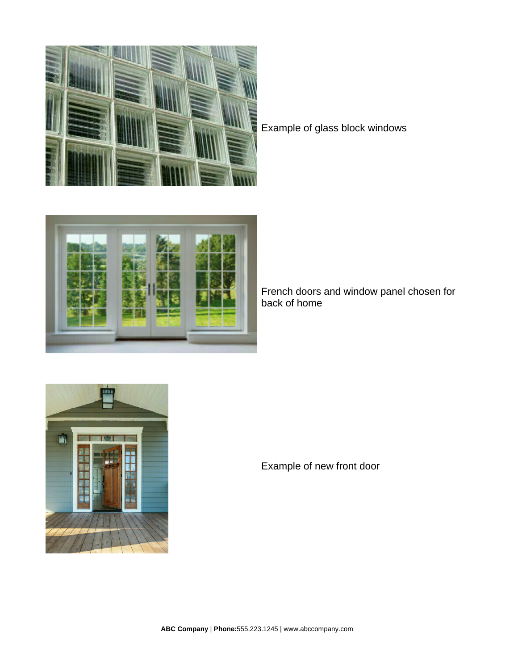

Example of glass block windows



French doors and window panel chosen for back of home



Example of new front door